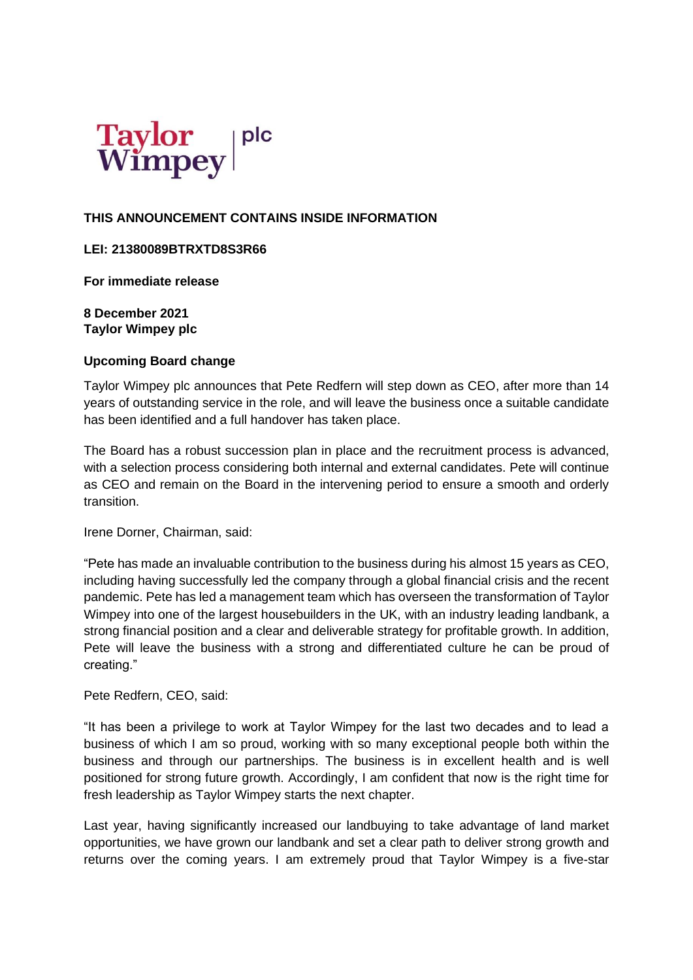

# **THIS ANNOUNCEMENT CONTAINS INSIDE INFORMATION**

# **LEI: 21380089BTRXTD8S3R66**

**For immediate release** 

**8 December 2021 Taylor Wimpey plc**

# **Upcoming Board change**

Taylor Wimpey plc announces that Pete Redfern will step down as CEO, after more than 14 years of outstanding service in the role, and will leave the business once a suitable candidate has been identified and a full handover has taken place.

The Board has a robust succession plan in place and the recruitment process is advanced, with a selection process considering both internal and external candidates. Pete will continue as CEO and remain on the Board in the intervening period to ensure a smooth and orderly transition.

Irene Dorner, Chairman, said:

"Pete has made an invaluable contribution to the business during his almost 15 years as CEO, including having successfully led the company through a global financial crisis and the recent pandemic. Pete has led a management team which has overseen the transformation of Taylor Wimpey into one of the largest housebuilders in the UK, with an industry leading landbank, a strong financial position and a clear and deliverable strategy for profitable growth. In addition, Pete will leave the business with a strong and differentiated culture he can be proud of creating."

### Pete Redfern, CEO, said:

"It has been a privilege to work at Taylor Wimpey for the last two decades and to lead a business of which I am so proud, working with so many exceptional people both within the business and through our partnerships. The business is in excellent health and is well positioned for strong future growth. Accordingly, I am confident that now is the right time for fresh leadership as Taylor Wimpey starts the next chapter.

Last year, having significantly increased our landbuying to take advantage of land market opportunities, we have grown our landbank and set a clear path to deliver strong growth and returns over the coming years. I am extremely proud that Taylor Wimpey is a five-star